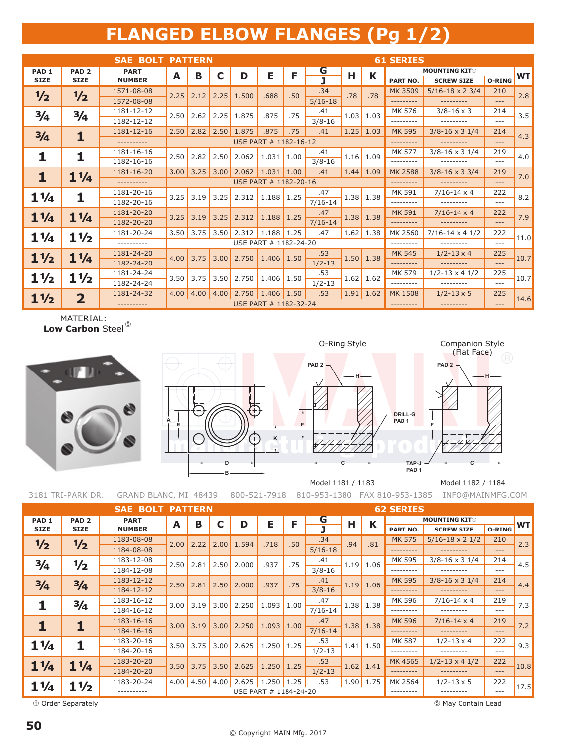## **FLANGED ELBOW FLANGES (Pg 1/2)**

|                  |                         | <b>SAE BOLT PATTERN</b> |                       |                       |             |              |                       |      |             |      |             | <b>61 SERIES</b> |                                  |          |           |
|------------------|-------------------------|-------------------------|-----------------------|-----------------------|-------------|--------------|-----------------------|------|-------------|------|-------------|------------------|----------------------------------|----------|-----------|
| PAD <sub>1</sub> | PAD <sub>2</sub>        | <b>PART</b>             | A                     | в                     | C           | D            | Е                     | F    | G           | Н    | K           |                  | <b>MOUNTING KIT®</b>             |          | <b>WT</b> |
| <b>SIZE</b>      | <b>SIZE</b>             | <b>NUMBER</b>           |                       |                       |             |              |                       |      | ī           |      |             | <b>PART NO.</b>  | <b>SCREW SIZE</b>                | O-RING   |           |
| 1/2              | 1/2                     | 1571-08-08              | 2.25                  | 2.12                  | 2.25        | 1.500        | .688                  | .50  | .34         | .78  | .78         | <b>MK 3509</b>   | $5/16 - 18 \times 2 \frac{3}{4}$ | 210      | 2.8       |
|                  |                         | 1572-08-08              |                       |                       |             |              |                       |      | $5/16-18$   |      |             | .                | ---------                        | $\cdots$ |           |
| 3/4              | $\frac{3}{4}$           | 1181-12-12              | 2.50                  | 2.62                  | 2.25        | 1.875        | .875                  | .75  | .41         | 1.03 | 1.03        | MK 576           | $3/8 - 16 \times 3$              | 214      | 3.5       |
|                  |                         | 1182-12-12              |                       |                       |             |              |                       |      | $3/8 - 16$  |      |             | .                | ---------                        | $---$    |           |
| 3/4              | 1                       | 1181-12-16              | 2.50                  | 2.82                  | 2.50        | 1.875        | .875                  | .75  | .41         |      | $1.25$ 1.03 | <b>MK 595</b>    | $3/8 - 16 \times 3$ 1/4          | 214      | 4.3       |
|                  |                         | ----------              |                       | USE PART # 1182-16-12 |             |              |                       |      |             |      |             | ---------        | ---------                        | $\cdots$ |           |
| 1                | 1                       | 1181-16-16              | 2.50                  | 2.82                  | 2.50        | 2.062        | 1.031                 | 1.00 | .41         |      | $1.16$ 1.09 | <b>MK 577</b>    | $3/8 - 16 \times 3$ 1/4          | 219      | 4.0       |
|                  |                         | 1182-16-16              |                       |                       |             |              |                       |      | $3/8 - 16$  |      |             | ---------        | ---------                        | $- - -$  |           |
| 1                | $1\frac{1}{4}$          | 1181-16-20              | 3.00                  | 3.25                  | 3.00        | 2.062        | 1.031                 | 1.00 | .41         |      | $1.44$ 1.09 | <b>MK 2588</b>   | $3/8 - 16 \times 3 \frac{3}{4}$  | 219      | 7.0       |
|                  |                         | ----------              |                       |                       |             |              | USE PART # 1182-20-16 |      |             |      |             | ---------        | ---------                        | $\cdots$ |           |
| $1\frac{1}{4}$   | 1                       | 1181-20-16              | 3.25                  | 3.19                  | 3.25        | 2.312        | 1.188                 | 1.25 | .47         | 1.38 | 1.38        | MK 591           | $7/16 - 14 \times 4$             | 222      | 8.2       |
|                  |                         | 1182-20-16              |                       |                       |             |              |                       |      | $7/16 - 14$ |      |             | --------         | ---------                        | $- - -$  |           |
| $1\frac{1}{4}$   | $1\frac{1}{4}$          | 1181-20-20              | 3.25                  | 3.19                  | 3.25        | 2.312        | 1.188                 | 1.25 | .47         | 1.38 | 1.38        | <b>MK 591</b>    | $7/16 - 14 \times 4$             | 222      | 7.9       |
|                  |                         | 1182-20-20              |                       |                       |             |              |                       |      | $7/16-14$   |      |             | .                | ---------                        | $---$    |           |
| $1\frac{1}{4}$   | $1\frac{1}{2}$          | 1181-20-24              | 3.50                  |                       | $3.75$ 3.50 | 2.312        | 1.188                 | 1.25 | .47         |      | $1.62$ 1.38 | MK 2560          | $7/16 - 14 \times 41/2$          | 222      | 11.0      |
|                  |                         | ----------              | USE PART # 1182-24-20 |                       |             |              |                       |      |             |      |             | .                | ---------                        | $- - -$  |           |
| $1\frac{1}{2}$   | $1\frac{1}{4}$          | 1181-24-20              | 4.00                  | 3.75                  | 3.00        | 2.750        |                       | 1.50 | .53         | 1.50 | 1.38        | <b>MK 545</b>    | $1/2 - 13 \times 4$              | 225      | 10.7      |
|                  |                         | 1182-24-20              |                       |                       |             |              | 1.406                 |      | $1/2 - 13$  |      |             | .                | ---------                        | $---$    |           |
| $1\frac{1}{2}$   | $1\frac{1}{2}$          | 1181-24-24              | 3.50                  | 3.75                  | 3.50        | 2.750        | 1.406                 | 1.50 | .53         | 1.62 | 1.62        | MK 579           | $1/2 - 13 \times 4$ 1/2          | 225      | 10.7      |
|                  |                         | 1182-24-24              |                       |                       |             |              |                       |      | $1/2 - 13$  |      |             | .                | ---------                        | $\cdots$ |           |
| $1\frac{1}{2}$   | $\overline{\mathbf{2}}$ | 1181-24-32              | 4.00                  | 4.00                  |             | $4.00$ 2.750 | 1.406                 | 1.50 | .53         |      | $1.91$ 1.62 | <b>MK 1508</b>   | $1/2 - 13 \times 5$              | 225      | 14.6      |
|                  |                         | ----------              |                       |                       |             |              | USE PART # 1182-32-24 |      |             |      |             | ---------        | ----------                       | $---$    |           |

MATERIAL: Low Carbon Steel<sup>®</sup>





**PAD 2 PAD 2**



**DRILL-G PAD 1**

**PAD 1**

**C**

3181 TRI-PARK DR. GRAND BLANC, MI 48439 800-521-7918 810-953-1380 FAX 810-953-1385 INFO@MAINMFG.COM Model 1181 / 1183 Model 1182 / 1184

|                  | <b>SAE BOLT PATTERN</b> |               |      |                       |      |       |       |      |             |      | <b>62 SERIES</b> |                      |                         |                                                                                                  |                                                       |  |  |  |
|------------------|-------------------------|---------------|------|-----------------------|------|-------|-------|------|-------------|------|------------------|----------------------|-------------------------|--------------------------------------------------------------------------------------------------|-------------------------------------------------------|--|--|--|
| PAD <sub>1</sub> | PAD <sub>2</sub>        | <b>PART</b>   | A    | В                     |      | D     | Е     | F    | G           | н    | K                | <b>MOUNTING KITO</b> |                         |                                                                                                  |                                                       |  |  |  |
| <b>SIZE</b>      | <b>SIZE</b>             | <b>NUMBER</b> |      |                       |      |       |       |      |             |      |                  | PART NO.             | <b>SCREW SIZE</b>       | O-RING                                                                                           |                                                       |  |  |  |
| 1/2              | 1/2                     | 1183-08-08    | 2.00 | 2.22                  | 2.00 | 1.594 | .718  | .50  | .34         | .94  | .81              | <b>MK 575</b>        | $5/16 - 18 \times 21/2$ | 210                                                                                              |                                                       |  |  |  |
|                  |                         | 1184-08-08    |      |                       |      |       |       |      | $5/16 - 18$ |      |                  | .                    | ---------               | $---$<br>214<br>$- - -$<br>214<br>$---$<br>219<br>$- - -$<br>219<br>$---$<br>222<br>$---$<br>222 |                                                       |  |  |  |
| $\frac{3}{4}$    | 1/2                     | 1183-12-08    | 2.50 | 2.81                  | 2.50 | 2.000 | .937  | .75  | .41         | 1.19 | 1.06             | MK 595               | $3/8 - 16 \times 31/4$  |                                                                                                  |                                                       |  |  |  |
|                  |                         | 1184-12-08    |      |                       |      |       |       |      | $3/8 - 16$  |      |                  | ---------            | ---------               |                                                                                                  |                                                       |  |  |  |
| 3/4              | 3/4                     | 1183-12-12    | 2.50 | 2.81                  | 2.50 | 2.000 | .937  | .75  | .41         | 1.19 | 1.06             | <b>MK 595</b>        | $3/8 - 16 \times 3$ 1/4 |                                                                                                  | 4.4                                                   |  |  |  |
|                  |                         | 1184-12-12    |      |                       |      |       |       |      | $3/8 - 16$  |      |                  | .                    | ---------               |                                                                                                  |                                                       |  |  |  |
|                  | 3/4                     | 1183-16-12    | 3.00 | 3.19                  | 3.00 | 2.250 | 1.093 | 1.00 | .47         |      | $1.38$ 1.38      | MK 596               | $7/16 - 14 \times 4$    |                                                                                                  | 7.3                                                   |  |  |  |
|                  |                         | 1184-16-12    |      |                       |      |       |       |      | $7/16 - 14$ |      |                  | ---------            | ---------               |                                                                                                  |                                                       |  |  |  |
| 1                |                         | 1183-16-16    | 3.00 | 3.19                  | 3.00 | 2.250 | 1.093 | 1.00 | .47         |      | $1.38$ 1.38      | <b>MK 596</b>        | $7/16 - 14 \times 4$    |                                                                                                  |                                                       |  |  |  |
|                  |                         | 1184-16-16    |      |                       |      |       |       |      | $7/16 - 14$ |      |                  | .                    | ---------               |                                                                                                  |                                                       |  |  |  |
| $1\frac{1}{4}$   |                         | 1183-20-16    | 3.50 | 3.75                  | 3.00 | 2.625 | 1.250 | 1.25 | .53         |      | $1.41$ 1.50      | MK 587               | $1/2 - 13 \times 4$     |                                                                                                  |                                                       |  |  |  |
|                  |                         | 1184-20-16    |      |                       |      |       |       |      | $1/2 - 13$  |      |                  | ---------            | ---------               |                                                                                                  |                                                       |  |  |  |
| $1\frac{1}{4}$   | $1\frac{1}{4}$          | 1183-20-20    | 3.50 | 3.75                  | 3.50 | 2.625 | 1.250 | 1.25 | .53         | 1.62 | 1.41             | MK 4565              | $1/2 - 13 \times 4$ 1/2 |                                                                                                  | <b>WT</b><br>2.3<br>4.5<br>7.2<br>9.3<br>10.8<br>17.5 |  |  |  |
|                  |                         | 1184-20-20    |      |                       |      |       |       |      | $1/2 - 13$  |      |                  | ---------            | ---------               | $---$                                                                                            |                                                       |  |  |  |
| $1\frac{1}{4}$   | $1\frac{1}{2}$          | 1183-20-24    | 4.00 | 4.50                  | 4.00 | 2.625 | 1.250 | 1.25 | .53         |      | $1.90$ 1.75      | MK 2564              | $1/2 - 13 \times 5$     | 222                                                                                              |                                                       |  |  |  |
|                  |                         | ----------    |      | USE PART # 1184-24-20 |      |       |       |      |             |      |                  | ---------            |                         | $---$                                                                                            |                                                       |  |  |  |

Order Separately

May Contain Lead